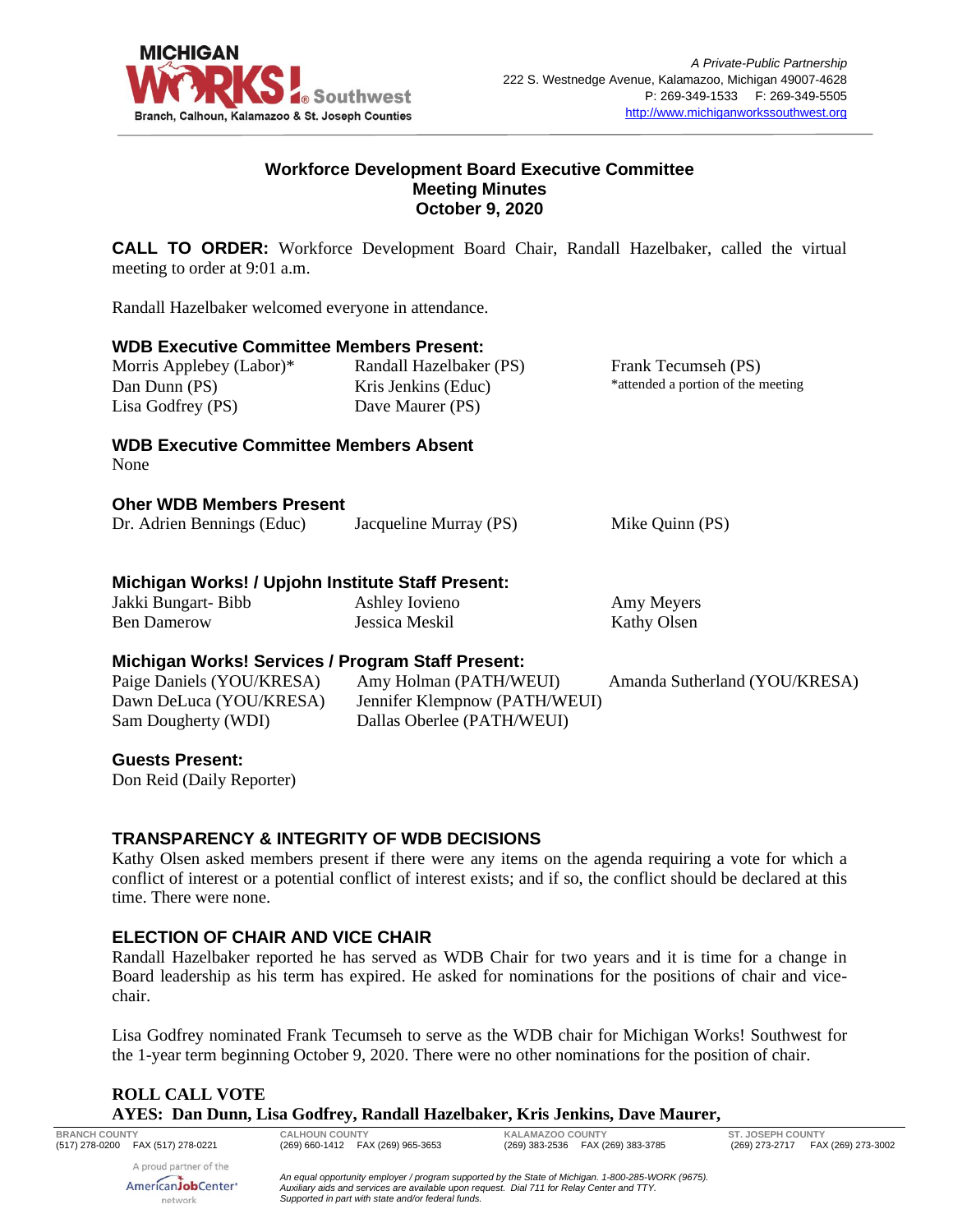

## **Workforce Development Board Executive Committee Meeting Minutes October 9, 2020**

**CALL TO ORDER:** Workforce Development Board Chair, Randall Hazelbaker, called the virtual meeting to order at 9:01 a.m.

Randall Hazelbaker welcomed everyone in attendance.

#### **WDB Executive Committee Members Present:**

| Morris Applebey (Labor)*<br>Dan Dunn (PS)<br>Lisa Godfrey (PS) | Randall Hazelbaker (PS)<br>Kris Jenkins (Educ)<br>Dave Maurer (PS) | Frank Tecumseh (PS)<br>*attended a portion of the meeting |
|----------------------------------------------------------------|--------------------------------------------------------------------|-----------------------------------------------------------|
| WDR Executive Committee Members Absent                         |                                                                    |                                                           |

**Executive Committee Members Absent** None

#### **Oher WDB Members Present**

| Dr. Adrien Bennings (Educ)                        | Jacqueline Murray (PS) | Mike Quinn (PS) |  |  |
|---------------------------------------------------|------------------------|-----------------|--|--|
| Michigan Works! / Upjohn Institute Staff Present: |                        |                 |  |  |
| Jakki Bungart-Bibb                                | Ashley Iovieno         | Amy Meyers      |  |  |
| <b>Ben Damerow</b>                                | Jessica Meskil         | Kathy Olsen     |  |  |

## **Michigan Works! Services / Program Staff Present:**

| Paige Daniels (YOU/KRESA) | Amy Holman (PATH/WEUI)        | Amanda Sutherland (YOU/KRESA) |
|---------------------------|-------------------------------|-------------------------------|
| Dawn DeLuca (YOU/KRESA)   | Jennifer Klempnow (PATH/WEUI) |                               |
| Sam Dougherty (WDI)       | Dallas Oberlee (PATH/WEUI)    |                               |

#### **Guests Present:**

Don Reid (Daily Reporter)

#### **TRANSPARENCY & INTEGRITY OF WDB DECISIONS**

Kathy Olsen asked members present if there were any items on the agenda requiring a vote for which a conflict of interest or a potential conflict of interest exists; and if so, the conflict should be declared at this time. There were none.

## **ELECTION OF CHAIR AND VICE CHAIR**

Randall Hazelbaker reported he has served as WDB Chair for two years and it is time for a change in Board leadership as his term has expired. He asked for nominations for the positions of chair and vicechair.

Lisa Godfrey nominated Frank Tecumseh to serve as the WDB chair for Michigan Works! Southwest for the 1-year term beginning October 9, 2020. There were no other nominations for the position of chair.

## **ROLL CALL VOTE AYES: Dan Dunn, Lisa Godfrey, Randall Hazelbaker, Kris Jenkins, Dave Maurer,**

A proud partner of the AmericanJobCenter<sup>®</sup> network

**BRANCH COUNTY CALHOUN COUNTY KALAMAZOO COUNTY ST. JOSEPH COUNTY**

(269) 273-2717 FAX (269) 273-3002

*An equal opportunity employer / program supported by the State of Michigan. 1-800-285-WORK (9675). Auxiliary aids and services are available upon request. Dial 711 for Relay Center and TTY. Supported in part with state and/or federal funds.*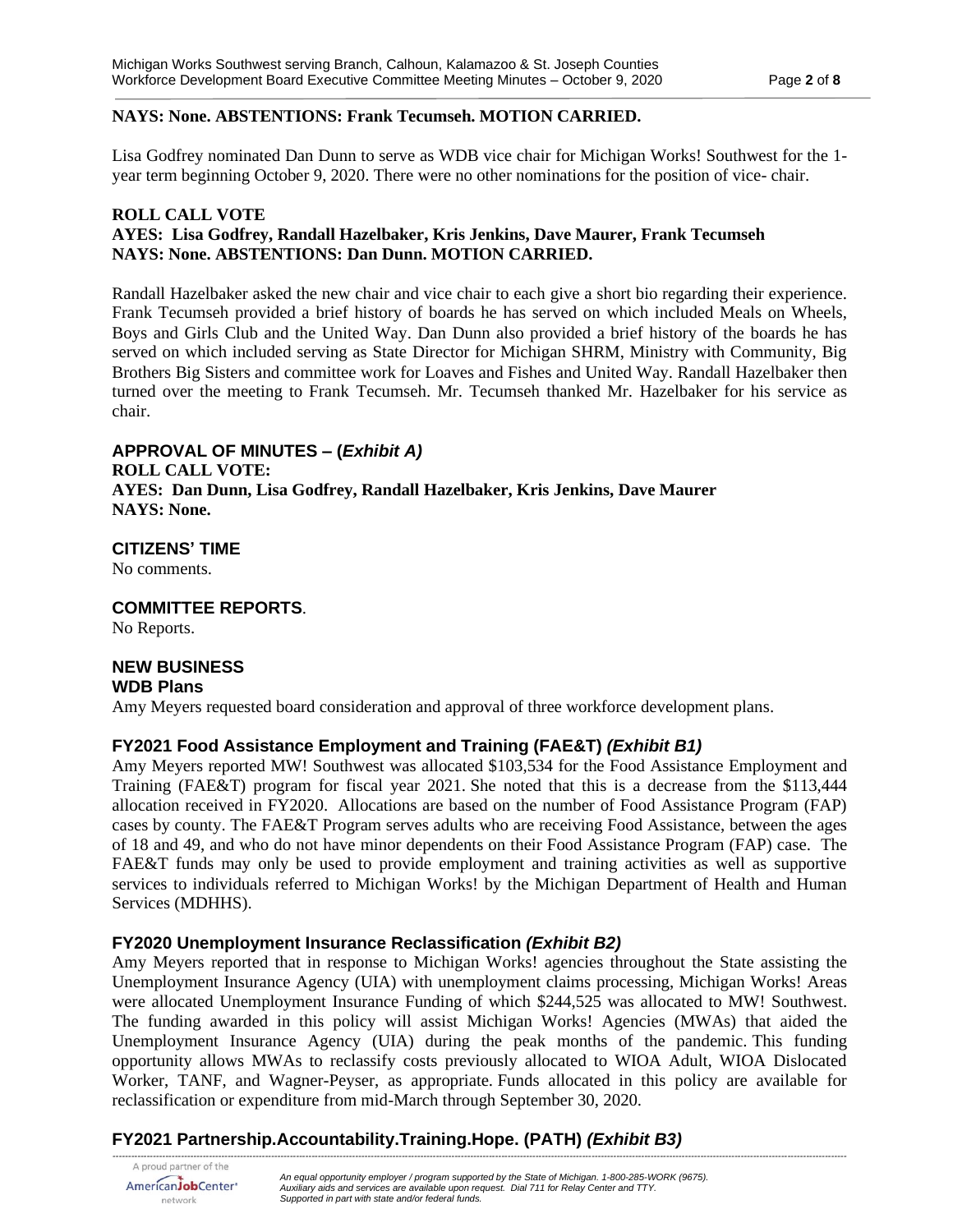#### **NAYS: None. ABSTENTIONS: Frank Tecumseh. MOTION CARRIED.**

Lisa Godfrey nominated Dan Dunn to serve as WDB vice chair for Michigan Works! Southwest for the 1 year term beginning October 9, 2020. There were no other nominations for the position of vice- chair.

#### **ROLL CALL VOTE AYES: Lisa Godfrey, Randall Hazelbaker, Kris Jenkins, Dave Maurer, Frank Tecumseh NAYS: None. ABSTENTIONS: Dan Dunn. MOTION CARRIED.**

Randall Hazelbaker asked the new chair and vice chair to each give a short bio regarding their experience. Frank Tecumseh provided a brief history of boards he has served on which included Meals on Wheels, Boys and Girls Club and the United Way. Dan Dunn also provided a brief history of the boards he has served on which included serving as State Director for Michigan SHRM, Ministry with Community, Big Brothers Big Sisters and committee work for Loaves and Fishes and United Way. Randall Hazelbaker then turned over the meeting to Frank Tecumseh. Mr. Tecumseh thanked Mr. Hazelbaker for his service as chair.

## **APPROVAL OF MINUTES – (***Exhibit A)*

**ROLL CALL VOTE: AYES: Dan Dunn, Lisa Godfrey, Randall Hazelbaker, Kris Jenkins, Dave Maurer NAYS: None.** 

## **CITIZENS' TIME**

No comments.

# **COMMITTEE REPORTS**.

No Reports.

#### **NEW BUSINESS WDB Plans**

Amy Meyers requested board consideration and approval of three workforce development plans.

#### **FY2021 Food Assistance Employment and Training (FAE&T)** *(Exhibit B1)*

Amy Meyers reported MW! Southwest was allocated \$103,534 for the Food Assistance Employment and Training (FAE&T) program for fiscal year 2021. She noted that this is a decrease from the \$113,444 allocation received in FY2020. Allocations are based on the number of Food Assistance Program (FAP) cases by county. The FAE&T Program serves adults who are receiving Food Assistance, between the ages of 18 and 49, and who do not have minor dependents on their Food Assistance Program (FAP) case. The FAE&T funds may only be used to provide employment and training activities as well as supportive services to individuals referred to Michigan Works! by the Michigan Department of Health and Human Services (MDHHS).

#### **FY2020 Unemployment Insurance Reclassification** *(Exhibit B2)*

Amy Meyers reported that in response to Michigan Works! agencies throughout the State assisting the Unemployment Insurance Agency (UIA) with unemployment claims processing, Michigan Works! Areas were allocated Unemployment Insurance Funding of which \$244,525 was allocated to MW! Southwest. The funding awarded in this policy will assist Michigan Works! Agencies (MWAs) that aided the Unemployment Insurance Agency (UIA) during the peak months of the pandemic. This funding opportunity allows MWAs to reclassify costs previously allocated to WIOA Adult, WIOA Dislocated Worker, TANF, and Wagner-Peyser, as appropriate. Funds allocated in this policy are available for reclassification or expenditure from mid-March through September 30, 2020.

*--------------------------------------------------------------------------------------------------------------------------------------------------------------------------------------------------------------------------------------------*

# **FY2021 Partnership.Accountability.Training.Hope. (PATH)** *(Exhibit B3)*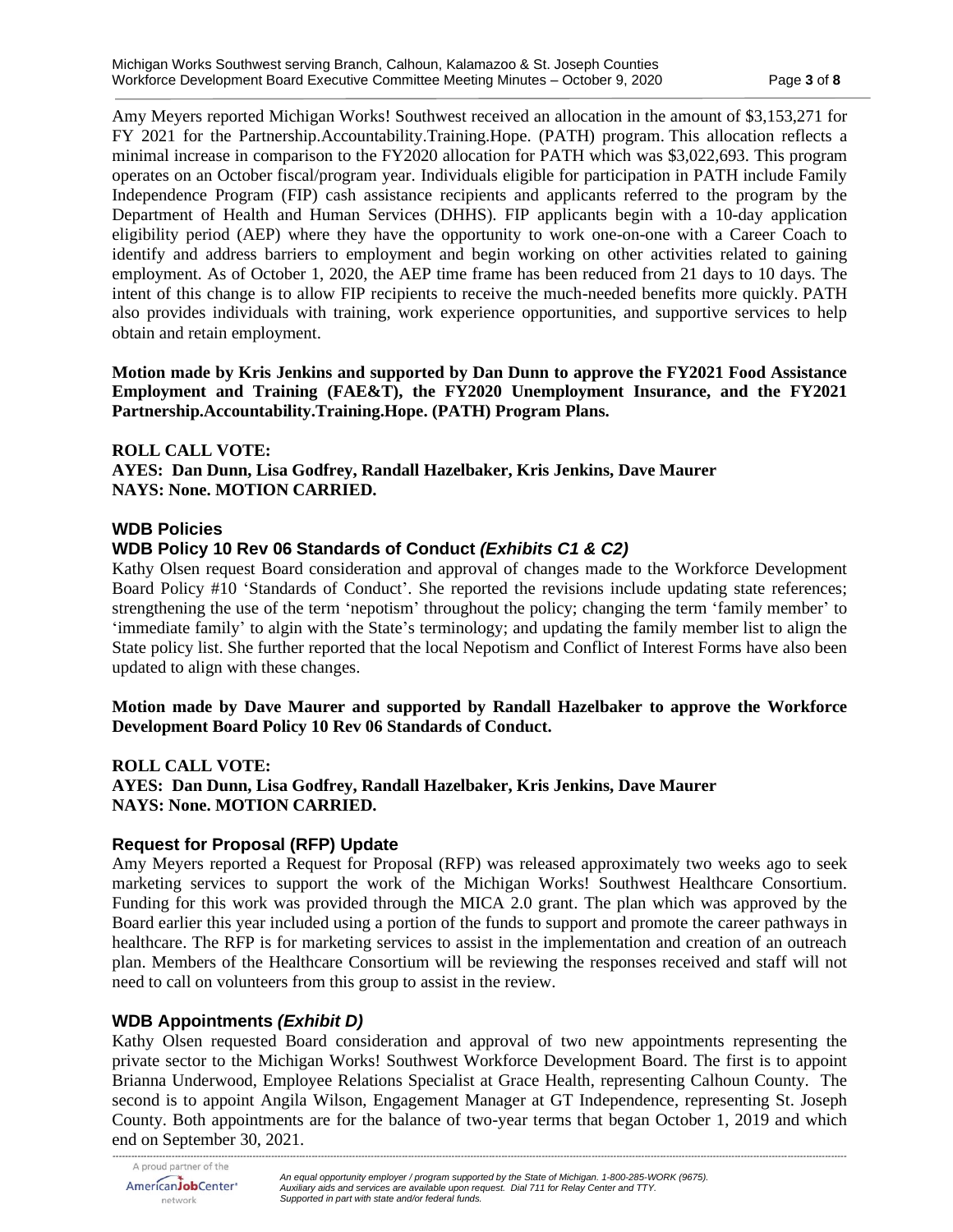Amy Meyers reported Michigan Works! Southwest received an allocation in the amount of \$3,153,271 for FY 2021 for the Partnership.Accountability.Training.Hope. (PATH) program. This allocation reflects a minimal increase in comparison to the FY2020 allocation for PATH which was \$3,022,693. This program operates on an October fiscal/program year. Individuals eligible for participation in PATH include Family Independence Program (FIP) cash assistance recipients and applicants referred to the program by the Department of Health and Human Services (DHHS). FIP applicants begin with a 10-day application eligibility period (AEP) where they have the opportunity to work one-on-one with a Career Coach to identify and address barriers to employment and begin working on other activities related to gaining employment. As of October 1, 2020, the AEP time frame has been reduced from 21 days to 10 days. The intent of this change is to allow FIP recipients to receive the much-needed benefits more quickly. PATH also provides individuals with training, work experience opportunities, and supportive services to help obtain and retain employment.

**Motion made by Kris Jenkins and supported by Dan Dunn to approve the FY2021 Food Assistance Employment and Training (FAE&T), the FY2020 Unemployment Insurance, and the FY2021 Partnership.Accountability.Training.Hope. (PATH) Program Plans.**

#### **ROLL CALL VOTE:**

**AYES: Dan Dunn, Lisa Godfrey, Randall Hazelbaker, Kris Jenkins, Dave Maurer NAYS: None. MOTION CARRIED.**

## **WDB Policies**

## **WDB Policy 10 Rev 06 Standards of Conduct** *(Exhibits C1 & C2)*

Kathy Olsen request Board consideration and approval of changes made to the Workforce Development Board Policy #10 'Standards of Conduct'. She reported the revisions include updating state references; strengthening the use of the term 'nepotism' throughout the policy; changing the term 'family member' to 'immediate family' to algin with the State's terminology; and updating the family member list to align the State policy list. She further reported that the local Nepotism and Conflict of Interest Forms have also been updated to align with these changes.

**Motion made by Dave Maurer and supported by Randall Hazelbaker to approve the Workforce Development Board Policy 10 Rev 06 Standards of Conduct.**

#### **ROLL CALL VOTE: AYES: Dan Dunn, Lisa Godfrey, Randall Hazelbaker, Kris Jenkins, Dave Maurer NAYS: None. MOTION CARRIED.**

## **Request for Proposal (RFP) Update**

Amy Meyers reported a Request for Proposal (RFP) was released approximately two weeks ago to seek marketing services to support the work of the Michigan Works! Southwest Healthcare Consortium. Funding for this work was provided through the MICA 2.0 grant. The plan which was approved by the Board earlier this year included using a portion of the funds to support and promote the career pathways in healthcare. The RFP is for marketing services to assist in the implementation and creation of an outreach plan. Members of the Healthcare Consortium will be reviewing the responses received and staff will not need to call on volunteers from this group to assist in the review.

## **WDB Appointments** *(Exhibit D)*

Kathy Olsen requested Board consideration and approval of two new appointments representing the private sector to the Michigan Works! Southwest Workforce Development Board. The first is to appoint Brianna Underwood, Employee Relations Specialist at Grace Health, representing Calhoun County. The second is to appoint Angila Wilson, Engagement Manager at GT Independence, representing St. Joseph County. Both appointments are for the balance of two-year terms that began October 1, 2019 and which end on September 30, 2021.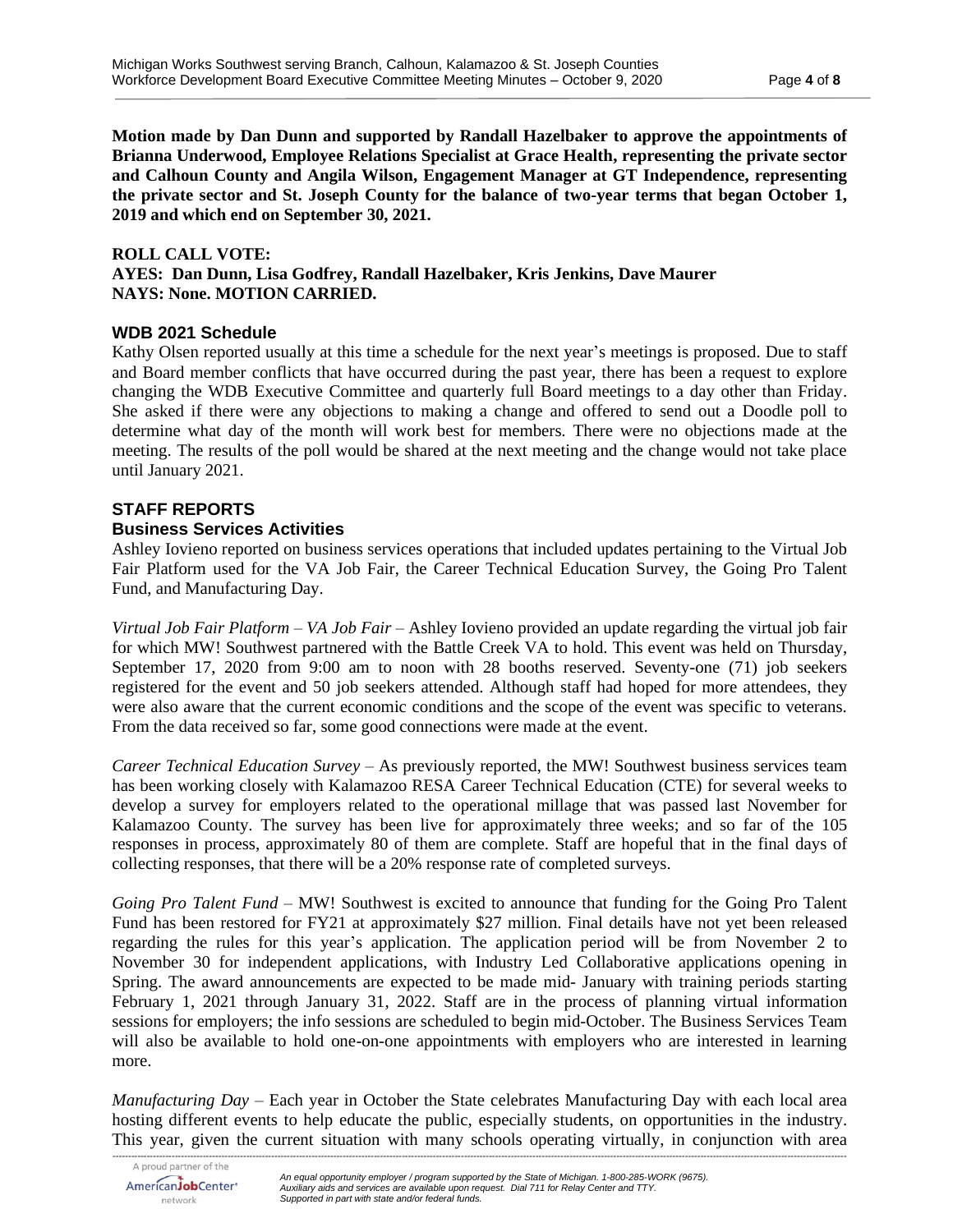**Motion made by Dan Dunn and supported by Randall Hazelbaker to approve the appointments of Brianna Underwood, Employee Relations Specialist at Grace Health, representing the private sector and Calhoun County and Angila Wilson, Engagement Manager at GT Independence, representing the private sector and St. Joseph County for the balance of two-year terms that began October 1, 2019 and which end on September 30, 2021.**

#### **ROLL CALL VOTE:**

**AYES: Dan Dunn, Lisa Godfrey, Randall Hazelbaker, Kris Jenkins, Dave Maurer NAYS: None. MOTION CARRIED.**

### **WDB 2021 Schedule**

Kathy Olsen reported usually at this time a schedule for the next year's meetings is proposed. Due to staff and Board member conflicts that have occurred during the past year, there has been a request to explore changing the WDB Executive Committee and quarterly full Board meetings to a day other than Friday. She asked if there were any objections to making a change and offered to send out a Doodle poll to determine what day of the month will work best for members. There were no objections made at the meeting. The results of the poll would be shared at the next meeting and the change would not take place until January 2021.

# **STAFF REPORTS**

### **Business Services Activities**

Ashley Iovieno reported on business services operations that included updates pertaining to the Virtual Job Fair Platform used for the VA Job Fair, the Career Technical Education Survey, the Going Pro Talent Fund, and Manufacturing Day.

*Virtual Job Fair Platform – VA Job Fair –* Ashley Iovieno provided an update regarding the virtual job fair for which MW! Southwest partnered with the Battle Creek VA to hold. This event was held on Thursday, September 17, 2020 from 9:00 am to noon with 28 booths reserved. Seventy-one (71) job seekers registered for the event and 50 job seekers attended. Although staff had hoped for more attendees, they were also aware that the current economic conditions and the scope of the event was specific to veterans. From the data received so far, some good connections were made at the event.

*Career Technical Education Survey* – As previously reported, the MW! Southwest business services team has been working closely with Kalamazoo RESA Career Technical Education (CTE) for several weeks to develop a survey for employers related to the operational millage that was passed last November for Kalamazoo County. The survey has been live for approximately three weeks; and so far of the 105 responses in process, approximately 80 of them are complete. Staff are hopeful that in the final days of collecting responses, that there will be a 20% response rate of completed surveys.

*Going Pro Talent Fund* – MW! Southwest is excited to announce that funding for the Going Pro Talent Fund has been restored for FY21 at approximately \$27 million. Final details have not yet been released regarding the rules for this year's application. The application period will be from November 2 to November 30 for independent applications, with Industry Led Collaborative applications opening in Spring. The award announcements are expected to be made mid- January with training periods starting February 1, 2021 through January 31, 2022. Staff are in the process of planning virtual information sessions for employers; the info sessions are scheduled to begin mid-October. The Business Services Team will also be available to hold one-on-one appointments with employers who are interested in learning more.

*Manufacturing Day* – Each year in October the State celebrates Manufacturing Day with each local area hosting different events to help educate the public, especially students, on opportunities in the industry. This year, given the current situation with many schools operating virtually, in conjunction with area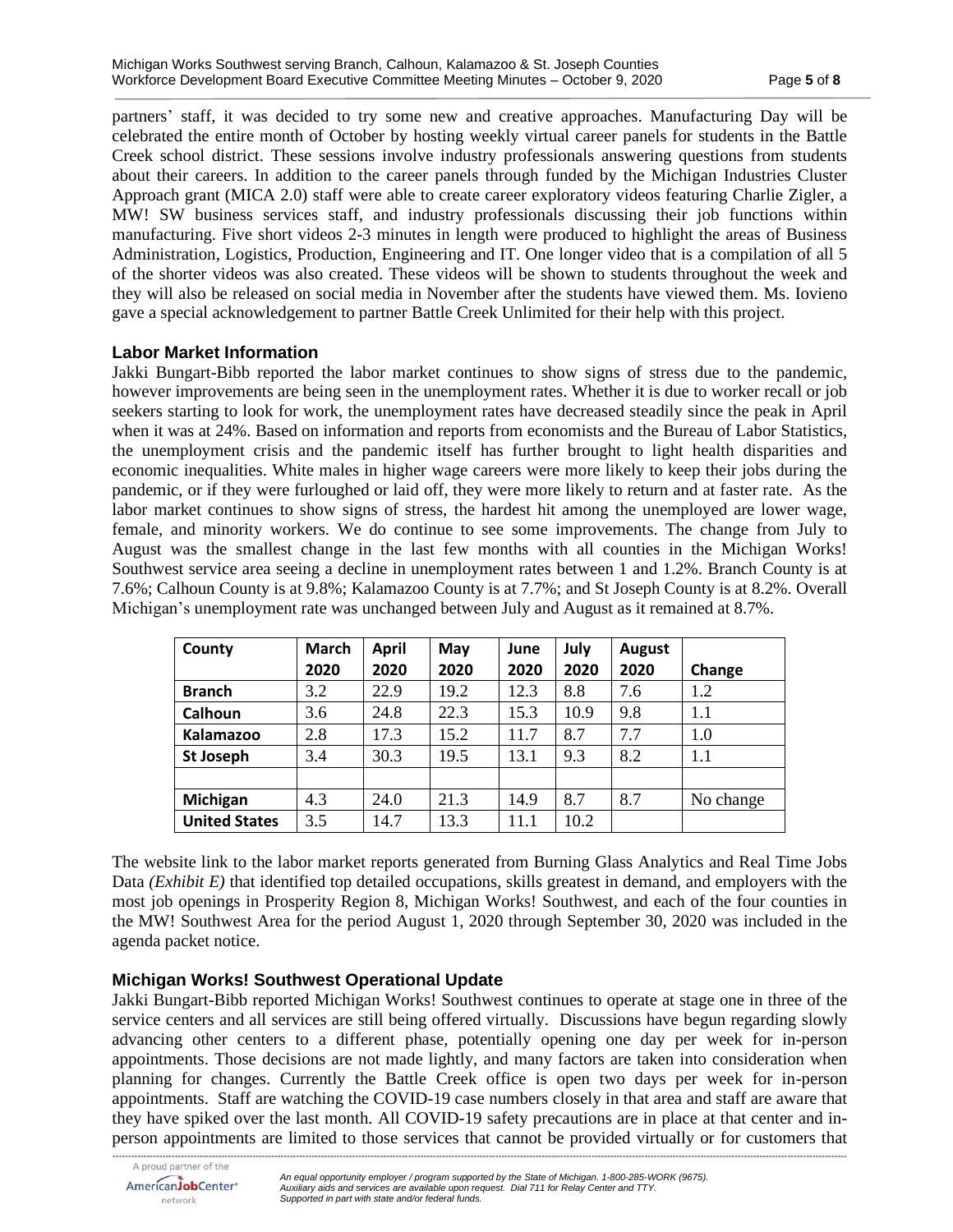partners' staff, it was decided to try some new and creative approaches. Manufacturing Day will be celebrated the entire month of October by hosting weekly virtual career panels for students in the Battle Creek school district. These sessions involve industry professionals answering questions from students about their careers. In addition to the career panels through funded by the Michigan Industries Cluster Approach grant (MICA 2.0) staff were able to create career exploratory videos featuring Charlie Zigler, a MW! SW business services staff, and industry professionals discussing their job functions within manufacturing. Five short videos 2-3 minutes in length were produced to highlight the areas of Business Administration, Logistics, Production, Engineering and IT. One longer video that is a compilation of all 5 of the shorter videos was also created. These videos will be shown to students throughout the week and they will also be released on social media in November after the students have viewed them. Ms. Iovieno gave a special acknowledgement to partner Battle Creek Unlimited for their help with this project.

## **Labor Market Information**

Jakki Bungart-Bibb reported the labor market continues to show signs of stress due to the pandemic, however improvements are being seen in the unemployment rates. Whether it is due to worker recall or job seekers starting to look for work, the unemployment rates have decreased steadily since the peak in April when it was at 24%. Based on information and reports from economists and the Bureau of Labor Statistics, the unemployment crisis and the pandemic itself has further brought to light health disparities and economic inequalities. White males in higher wage careers were more likely to keep their jobs during the pandemic, or if they were furloughed or laid off, they were more likely to return and at faster rate. As the labor market continues to show signs of stress, the hardest hit among the unemployed are lower wage, female, and minority workers. We do continue to see some improvements. The change from July to August was the smallest change in the last few months with all counties in the Michigan Works! Southwest service area seeing a decline in unemployment rates between 1 and 1.2%. Branch County is at 7.6%; Calhoun County is at 9.8%; Kalamazoo County is at 7.7%; and St Joseph County is at 8.2%. Overall Michigan's unemployment rate was unchanged between July and August as it remained at 8.7%.

| County               | <b>March</b> | <b>April</b> | May  | June | July | August |           |
|----------------------|--------------|--------------|------|------|------|--------|-----------|
|                      | 2020         | 2020         | 2020 | 2020 | 2020 | 2020   | Change    |
| <b>Branch</b>        | 3.2          | 22.9         | 19.2 | 12.3 | 8.8  | 7.6    | 1.2       |
| Calhoun              | 3.6          | 24.8         | 22.3 | 15.3 | 10.9 | 9.8    | $1.1\,$   |
| <b>Kalamazoo</b>     | 2.8          | 17.3         | 15.2 | 11.7 | 8.7  | 7.7    | 1.0       |
| <b>St Joseph</b>     | 3.4          | 30.3         | 19.5 | 13.1 | 9.3  | 8.2    | $1.1\,$   |
|                      |              |              |      |      |      |        |           |
| Michigan             | 4.3          | 24.0         | 21.3 | 14.9 | 8.7  | 8.7    | No change |
| <b>United States</b> | 3.5          | 14.7         | 13.3 | 11.1 | 10.2 |        |           |

The website link to the labor market reports generated from Burning Glass Analytics and Real Time Jobs Data *(Exhibit E)* that identified top detailed occupations, skills greatest in demand, and employers with the most job openings in Prosperity Region 8, Michigan Works! Southwest, and each of the four counties in the MW! Southwest Area for the period August 1, 2020 through September 30, 2020 was included in the agenda packet notice.

## **Michigan Works! Southwest Operational Update**

Jakki Bungart-Bibb reported Michigan Works! Southwest continues to operate at stage one in three of the service centers and all services are still being offered virtually. Discussions have begun regarding slowly advancing other centers to a different phase, potentially opening one day per week for in-person appointments. Those decisions are not made lightly, and many factors are taken into consideration when planning for changes. Currently the Battle Creek office is open two days per week for in-person appointments. Staff are watching the COVID-19 case numbers closely in that area and staff are aware that they have spiked over the last month. All COVID-19 safety precautions are in place at that center and inperson appointments are limited to those services that cannot be provided virtually or for customers that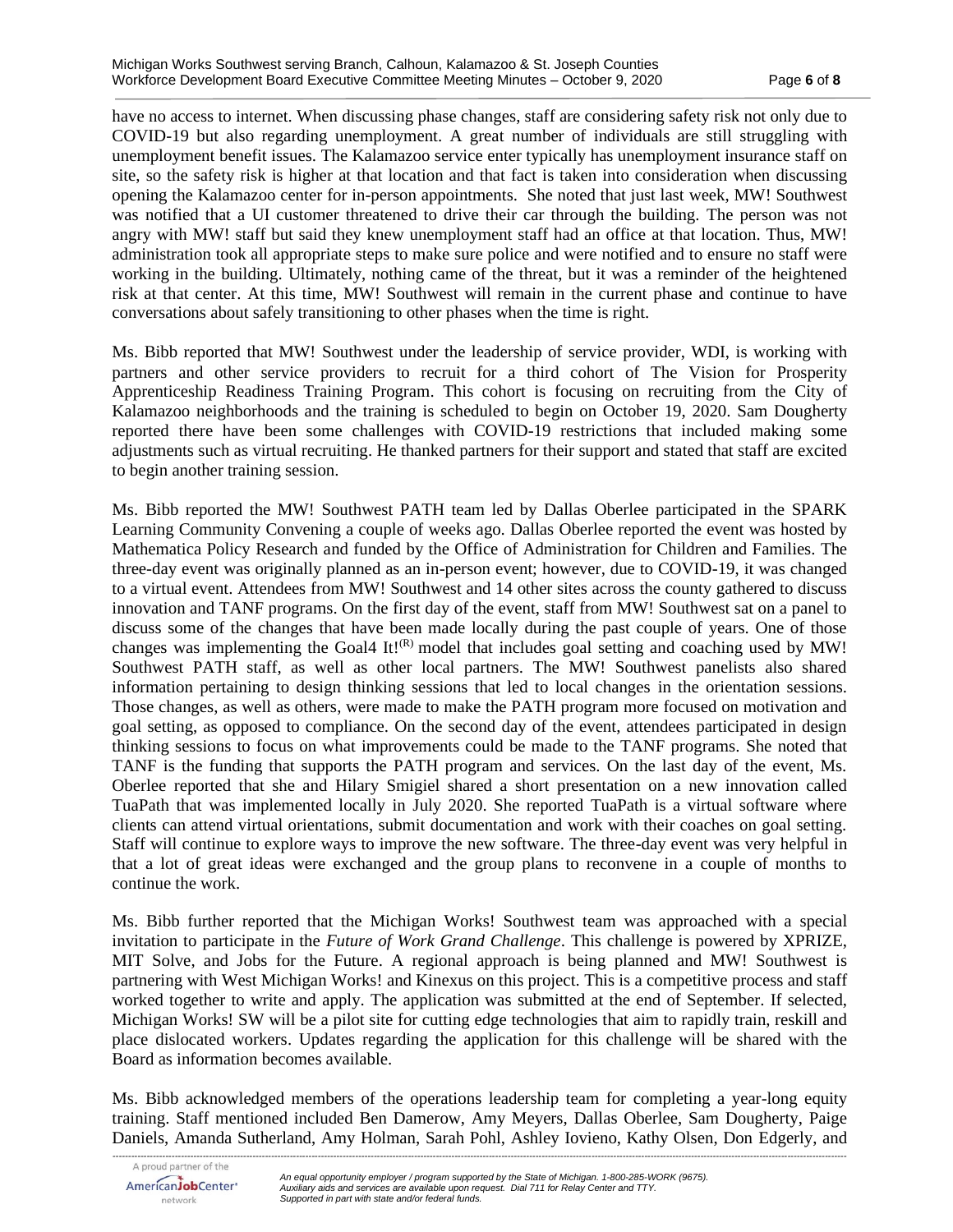have no access to internet. When discussing phase changes, staff are considering safety risk not only due to COVID-19 but also regarding unemployment. A great number of individuals are still struggling with unemployment benefit issues. The Kalamazoo service enter typically has unemployment insurance staff on site, so the safety risk is higher at that location and that fact is taken into consideration when discussing opening the Kalamazoo center for in-person appointments. She noted that just last week, MW! Southwest was notified that a UI customer threatened to drive their car through the building. The person was not angry with MW! staff but said they knew unemployment staff had an office at that location. Thus, MW! administration took all appropriate steps to make sure police and were notified and to ensure no staff were working in the building. Ultimately, nothing came of the threat, but it was a reminder of the heightened risk at that center. At this time, MW! Southwest will remain in the current phase and continue to have conversations about safely transitioning to other phases when the time is right.

Ms. Bibb reported that MW! Southwest under the leadership of service provider, WDI, is working with partners and other service providers to recruit for a third cohort of The Vision for Prosperity Apprenticeship Readiness Training Program. This cohort is focusing on recruiting from the City of Kalamazoo neighborhoods and the training is scheduled to begin on October 19, 2020. Sam Dougherty reported there have been some challenges with COVID-19 restrictions that included making some adjustments such as virtual recruiting. He thanked partners for their support and stated that staff are excited to begin another training session.

Ms. Bibb reported the MW! Southwest PATH team led by Dallas Oberlee participated in the SPARK Learning Community Convening a couple of weeks ago. Dallas Oberlee reported the event was hosted by Mathematica Policy Research and funded by the Office of Administration for Children and Families. The three-day event was originally planned as an in-person event; however, due to COVID-19, it was changed to a virtual event. Attendees from MW! Southwest and 14 other sites across the county gathered to discuss innovation and TANF programs. On the first day of the event, staff from MW! Southwest sat on a panel to discuss some of the changes that have been made locally during the past couple of years. One of those changes was implementing the Goal4 It! $(R)$  model that includes goal setting and coaching used by MW! Southwest PATH staff, as well as other local partners. The MW! Southwest panelists also shared information pertaining to design thinking sessions that led to local changes in the orientation sessions. Those changes, as well as others, were made to make the PATH program more focused on motivation and goal setting, as opposed to compliance. On the second day of the event, attendees participated in design thinking sessions to focus on what improvements could be made to the TANF programs. She noted that TANF is the funding that supports the PATH program and services. On the last day of the event, Ms. Oberlee reported that she and Hilary Smigiel shared a short presentation on a new innovation called TuaPath that was implemented locally in July 2020. She reported TuaPath is a virtual software where clients can attend virtual orientations, submit documentation and work with their coaches on goal setting. Staff will continue to explore ways to improve the new software. The three-day event was very helpful in that a lot of great ideas were exchanged and the group plans to reconvene in a couple of months to continue the work.

Ms. Bibb further reported that the Michigan Works! Southwest team was approached with a special invitation to participate in the *Future of Work Grand Challenge*. This challenge is powered by XPRIZE, MIT Solve, and Jobs for the Future. A regional approach is being planned and MW! Southwest is partnering with West Michigan Works! and Kinexus on this project. This is a competitive process and staff worked together to write and apply. The application was submitted at the end of September. If selected, Michigan Works! SW will be a pilot site for cutting edge technologies that aim to rapidly train, reskill and place dislocated workers. Updates regarding the application for this challenge will be shared with the Board as information becomes available.

Ms. Bibb acknowledged members of the operations leadership team for completing a year-long equity training. Staff mentioned included Ben Damerow, Amy Meyers, Dallas Oberlee, Sam Dougherty, Paige Daniels, Amanda Sutherland, Amy Holman, Sarah Pohl, Ashley Iovieno, Kathy Olsen, Don Edgerly, and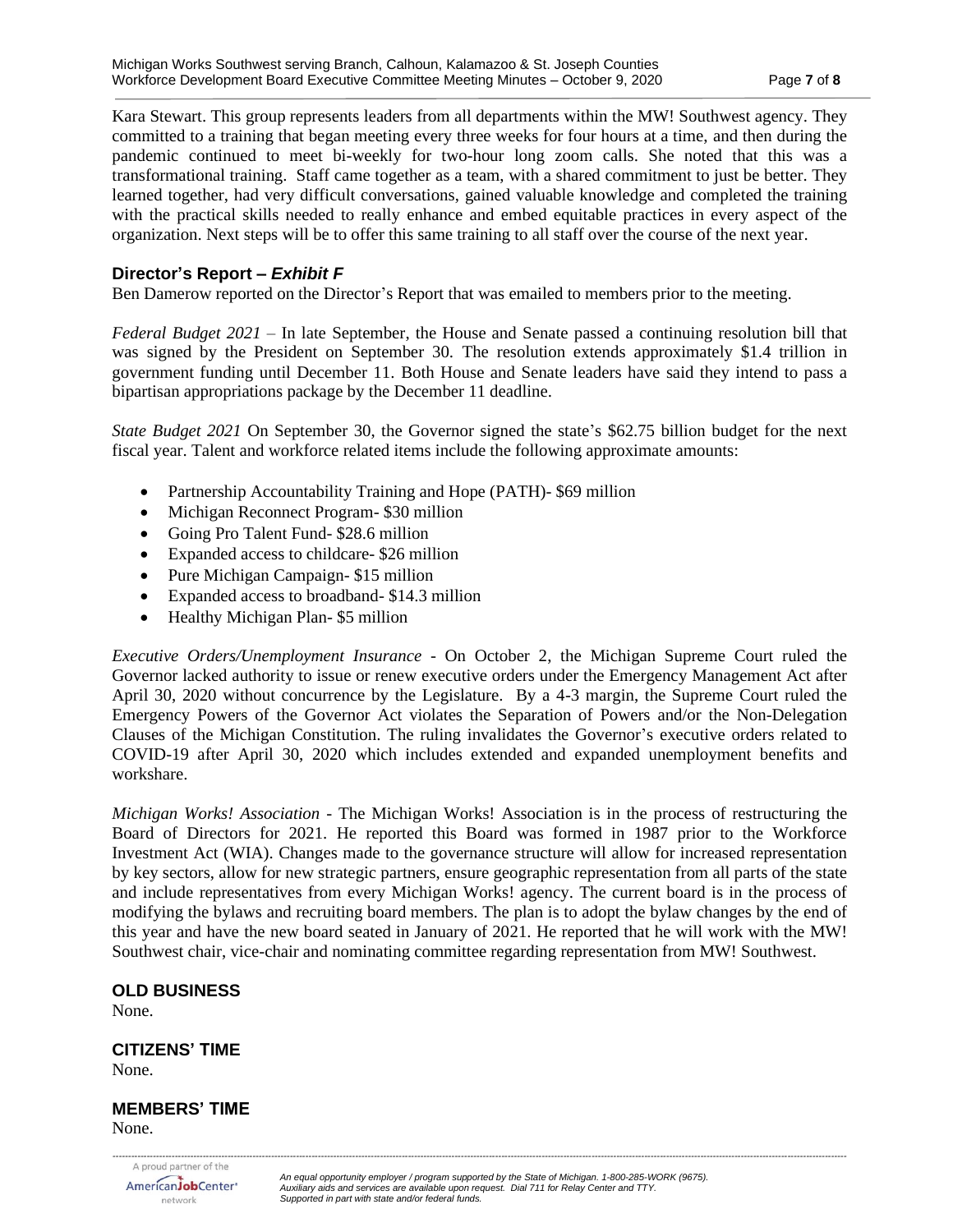Kara Stewart. This group represents leaders from all departments within the MW! Southwest agency. They committed to a training that began meeting every three weeks for four hours at a time, and then during the pandemic continued to meet bi-weekly for two-hour long zoom calls. She noted that this was a transformational training. Staff came together as a team, with a shared commitment to just be better. They learned together, had very difficult conversations, gained valuable knowledge and completed the training with the practical skills needed to really enhance and embed equitable practices in every aspect of the organization. Next steps will be to offer this same training to all staff over the course of the next year.

# **Director's Report –** *Exhibit F*

Ben Damerow reported on the Director's Report that was emailed to members prior to the meeting.

*Federal Budget 2021* – In late September, the House and Senate passed a continuing resolution bill that was signed by the President on September 30. The resolution extends approximately \$1.4 trillion in government funding until December 11. Both House and Senate leaders have said they intend to pass a bipartisan appropriations package by the December 11 deadline.

*State Budget 2021* On September 30, the Governor signed the state's \$62.75 billion budget for the next fiscal year. Talent and workforce related items include the following approximate amounts:

- Partnership Accountability Training and Hope (PATH)- \$69 million
- Michigan Reconnect Program- \$30 million
- Going Pro Talent Fund- \$28.6 million
- Expanded access to childcare- \$26 million
- Pure Michigan Campaign- \$15 million
- Expanded access to broadband-\$14.3 million
- Healthy Michigan Plan- \$5 million

*Executive Orders/Unemployment Insurance* - On October 2, the Michigan Supreme Court ruled the Governor lacked authority to issue or renew executive orders under the Emergency Management Act after April 30, 2020 without concurrence by the Legislature. By a 4-3 margin, the Supreme Court ruled the Emergency Powers of the Governor Act violates the Separation of Powers and/or the Non-Delegation Clauses of the Michigan Constitution. The ruling invalidates the Governor's executive orders related to COVID-19 after April 30, 2020 which includes extended and expanded unemployment benefits and workshare.

*Michigan Works! Association* - The Michigan Works! Association is in the process of restructuring the Board of Directors for 2021. He reported this Board was formed in 1987 prior to the Workforce Investment Act (WIA). Changes made to the governance structure will allow for increased representation by key sectors, allow for new strategic partners, ensure geographic representation from all parts of the state and include representatives from every Michigan Works! agency. The current board is in the process of modifying the bylaws and recruiting board members. The plan is to adopt the bylaw changes by the end of this year and have the new board seated in January of 2021. He reported that he will work with the MW! Southwest chair, vice-chair and nominating committee regarding representation from MW! Southwest.

#### **OLD BUSINESS**

None.

#### **CITIZENS' TIME** None.

#### **MEMBERS' TIME** None.

AmericanJobCenter<sup>®</sup> network